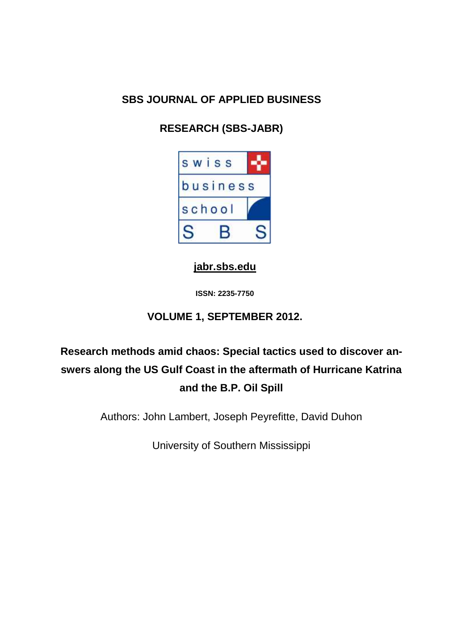## **SBS JOURNAL OF APPLIED BUSINESS**

# **RESEARCH (SBS-JABR)**



**[jabr.sbs.edu](http://www.jabr.sbs.edu/)**

**ISSN: 2235-7750**

## **VOLUME 1, SEPTEMBER 2012.**

# **Research methods amid chaos: Special tactics used to discover answers along the US Gulf Coast in the aftermath of Hurricane Katrina and the B.P. Oil Spill**

Authors: John Lambert, Joseph Peyrefitte, David Duhon

University of Southern Mississippi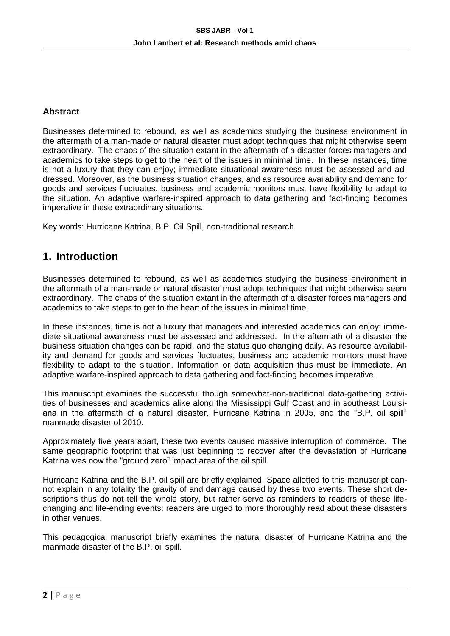#### **Abstract**

Businesses determined to rebound, as well as academics studying the business environment in the aftermath of a man-made or natural disaster must adopt techniques that might otherwise seem extraordinary. The chaos of the situation extant in the aftermath of a disaster forces managers and academics to take steps to get to the heart of the issues in minimal time. In these instances, time is not a luxury that they can enjoy; immediate situational awareness must be assessed and addressed. Moreover, as the business situation changes, and as resource availability and demand for goods and services fluctuates, business and academic monitors must have flexibility to adapt to the situation. An adaptive warfare-inspired approach to data gathering and fact-finding becomes imperative in these extraordinary situations.

Key words: Hurricane Katrina, B.P. Oil Spill, non-traditional research

## **1. Introduction**

Businesses determined to rebound, as well as academics studying the business environment in the aftermath of a man-made or natural disaster must adopt techniques that might otherwise seem extraordinary. The chaos of the situation extant in the aftermath of a disaster forces managers and academics to take steps to get to the heart of the issues in minimal time.

In these instances, time is not a luxury that managers and interested academics can enjoy; immediate situational awareness must be assessed and addressed. In the aftermath of a disaster the business situation changes can be rapid, and the status quo changing daily. As resource availability and demand for goods and services fluctuates, business and academic monitors must have flexibility to adapt to the situation. Information or data acquisition thus must be immediate. An adaptive warfare-inspired approach to data gathering and fact-finding becomes imperative.

This manuscript examines the successful though somewhat-non-traditional data-gathering activities of businesses and academics alike along the Mississippi Gulf Coast and in southeast Louisiana in the aftermath of a natural disaster, Hurricane Katrina in 2005, and the "B.P. oil spill" manmade disaster of 2010.

Approximately five years apart, these two events caused massive interruption of commerce. The same geographic footprint that was just beginning to recover after the devastation of Hurricane Katrina was now the "ground zero" impact area of the oil spill.

Hurricane Katrina and the B.P. oil spill are briefly explained. Space allotted to this manuscript cannot explain in any totality the gravity of and damage caused by these two events. These short descriptions thus do not tell the whole story, but rather serve as reminders to readers of these lifechanging and life-ending events; readers are urged to more thoroughly read about these disasters in other venues.

This pedagogical manuscript briefly examines the natural disaster of Hurricane Katrina and the manmade disaster of the B.P. oil spill.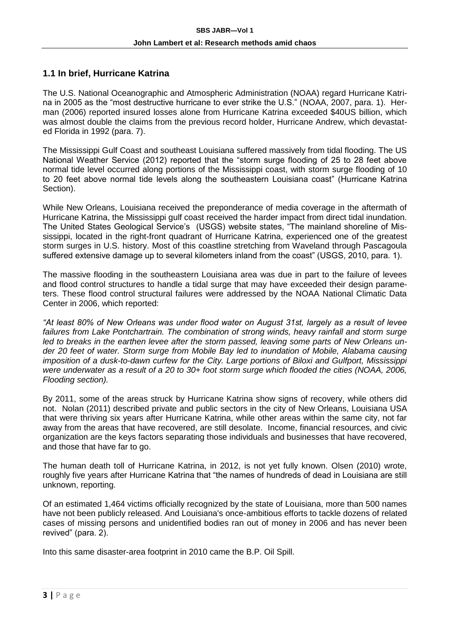#### **1.1 In brief, Hurricane Katrina**

The U.S. National Oceanographic and Atmospheric Administration (NOAA) regard Hurricane Katrina in 2005 as the "most destructive hurricane to ever strike the U.S." (NOAA, 2007, para. 1). Herman (2006) reported insured losses alone from Hurricane Katrina exceeded \$40US billion, which was almost double the claims from the previous record holder, Hurricane Andrew, which devastated Florida in 1992 (para. 7).

The Mississippi Gulf Coast and southeast Louisiana suffered massively from tidal flooding. The US National Weather Service (2012) reported that the "storm surge flooding of 25 to 28 feet above normal tide level occurred along portions of the Mississippi coast, with storm surge flooding of 10 to 20 feet above normal tide levels along the southeastern Louisiana coast" (Hurricane Katrina Section).

While New Orleans, Louisiana received the preponderance of media coverage in the aftermath of Hurricane Katrina, the Mississippi gulf coast received the harder impact from direct tidal inundation. The United States Geological Service's (USGS) website states, "The mainland shoreline of Mississippi, located in the right-front quadrant of Hurricane Katrina, experienced one of the greatest storm surges in U.S. history. Most of this coastline stretching from Waveland through Pascagoula suffered extensive damage up to several kilometers inland from the coast" (USGS, 2010, para. 1).

The massive flooding in the southeastern Louisiana area was due in part to the failure of levees and flood control structures to handle a tidal surge that may have exceeded their design parameters. These flood control structural failures were addressed by the NOAA National Climatic Data Center in 2006, which reported:

*"At least 80% of New Orleans was under flood water on August 31st, largely as a result of levee*  failures from Lake Pontchartrain. The combination of strong winds, heavy rainfall and storm surge *led to breaks in the earthen levee after the storm passed, leaving some parts of New Orleans under 20 feet of water. Storm surge from Mobile Bay led to inundation of Mobile, Alabama causing imposition of a dusk-to-dawn curfew for the City. Large portions of Biloxi and Gulfport, Mississippi were underwater as a result of a 20 to 30+ foot storm surge which flooded the cities (NOAA, 2006, Flooding section).*

By 2011, some of the areas struck by Hurricane Katrina show signs of recovery, while others did not. Nolan (2011) described private and public sectors in the city of New Orleans, Louisiana USA that were thriving six years after Hurricane Katrina, while other areas within the same city, not far away from the areas that have recovered, are still desolate. Income, financial resources, and civic organization are the keys factors separating those individuals and businesses that have recovered, and those that have far to go.

The human death toll of Hurricane Katrina, in 2012, is not yet fully known. Olsen (2010) wrote, roughly five years after Hurricane Katrina that "the names of hundreds of dead in Louisiana are still unknown, reporting.

Of an estimated 1,464 victims officially recognized by the state of Louisiana, more than 500 names have not been publicly released. And Louisiana's once-ambitious efforts to tackle dozens of related cases of missing persons and unidentified bodies ran out of money in 2006 and has never been revived" (para. 2).

Into this same disaster-area footprint in 2010 came the B.P. Oil Spill.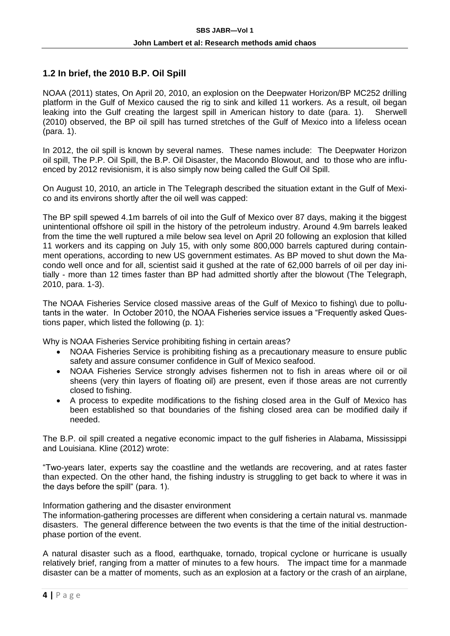#### **1.2 In brief, the 2010 B.P. Oil Spill**

NOAA (2011) states, On April 20, 2010, an explosion on the Deepwater Horizon/BP MC252 drilling platform in the Gulf of Mexico caused the rig to sink and killed 11 workers. As a result, oil began leaking into the Gulf creating the largest spill in American history to date (para. 1). Sherwell (2010) observed, the BP oil spill has turned stretches of the Gulf of Mexico into a lifeless ocean (para. 1).

In 2012, the oil spill is known by several names. These names include: The Deepwater Horizon oil spill, The P.P. Oil Spill, the B.P. Oil Disaster, the Macondo Blowout, and to those who are influenced by 2012 revisionism, it is also simply now being called the Gulf Oil Spill.

On August 10, 2010, an article in The Telegraph described the situation extant in the Gulf of Mexico and its environs shortly after the oil well was capped:

The BP spill spewed 4.1m barrels of oil into the Gulf of Mexico over 87 days, making it the biggest unintentional offshore oil spill in the history of the petroleum industry. Around 4.9m barrels leaked from the time the well ruptured a mile below sea level on April 20 following an explosion that killed 11 workers and its capping on July 15, with only some 800,000 barrels captured during containment operations, according to new US government estimates. As BP moved to shut down the Macondo well once and for all, scientist said it gushed at the rate of 62,000 barrels of oil per day initially - more than 12 times faster than BP had admitted shortly after the blowout (The Telegraph, 2010, para. 1-3).

The NOAA Fisheries Service closed massive areas of the Gulf of Mexico to fishing\ due to pollutants in the water. In October 2010, the NOAA Fisheries service issues a "Frequently asked Questions paper, which listed the following (p. 1):

Why is NOAA Fisheries Service prohibiting fishing in certain areas?

- NOAA Fisheries Service is prohibiting fishing as a precautionary measure to ensure public safety and assure consumer confidence in Gulf of Mexico seafood.
- NOAA Fisheries Service strongly advises fishermen not to fish in areas where oil or oil sheens (very thin layers of floating oil) are present, even if those areas are not currently closed to fishing.
- A process to expedite modifications to the fishing closed area in the Gulf of Mexico has been established so that boundaries of the fishing closed area can be modified daily if needed.

The B.P. oil spill created a negative economic impact to the gulf fisheries in Alabama, Mississippi and Louisiana. Kline (2012) wrote:

"Two-years later, experts say the coastline and the wetlands are recovering, and at rates faster than expected. On the other hand, the fishing industry is struggling to get back to where it was in the days before the spill" (para. 1).

Information gathering and the disaster environment

The information-gathering processes are different when considering a certain natural vs. manmade disasters. The general difference between the two events is that the time of the initial destructionphase portion of the event.

A natural disaster such as a flood, earthquake, tornado, tropical cyclone or hurricane is usually relatively brief, ranging from a matter of minutes to a few hours. The impact time for a manmade disaster can be a matter of moments, such as an explosion at a factory or the crash of an airplane,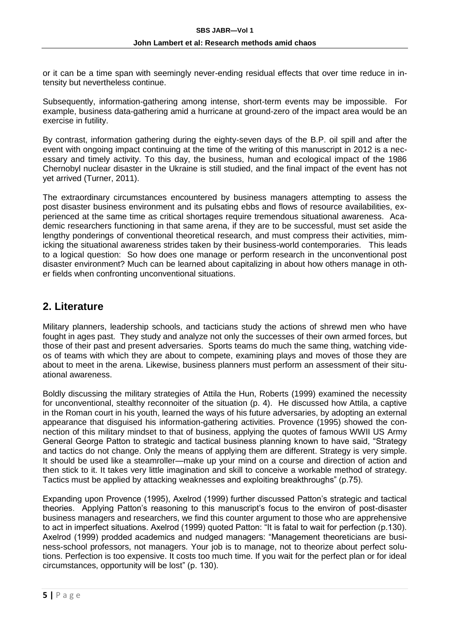or it can be a time span with seemingly never-ending residual effects that over time reduce in intensity but nevertheless continue.

Subsequently, information-gathering among intense, short-term events may be impossible. For example, business data-gathering amid a hurricane at ground-zero of the impact area would be an exercise in futility.

By contrast, information gathering during the eighty-seven days of the B.P. oil spill and after the event with ongoing impact continuing at the time of the writing of this manuscript in 2012 is a necessary and timely activity. To this day, the business, human and ecological impact of the 1986 Chernobyl nuclear disaster in the Ukraine is still studied, and the final impact of the event has not yet arrived (Turner, 2011).

The extraordinary circumstances encountered by business managers attempting to assess the post disaster business environment and its pulsating ebbs and flows of resource availabilities, experienced at the same time as critical shortages require tremendous situational awareness. Academic researchers functioning in that same arena, if they are to be successful, must set aside the lengthy ponderings of conventional theoretical research, and must compress their activities, mimicking the situational awareness strides taken by their business-world contemporaries. This leads to a logical question: So how does one manage or perform research in the unconventional post disaster environment? Much can be learned about capitalizing in about how others manage in other fields when confronting unconventional situations.

## **2. Literature**

Military planners, leadership schools, and tacticians study the actions of shrewd men who have fought in ages past. They study and analyze not only the successes of their own armed forces, but those of their past and present adversaries. Sports teams do much the same thing, watching videos of teams with which they are about to compete, examining plays and moves of those they are about to meet in the arena. Likewise, business planners must perform an assessment of their situational awareness.

Boldly discussing the military strategies of Attila the Hun, Roberts (1999) examined the necessity for unconventional, stealthy reconnoiter of the situation (p. 4). He discussed how Attila, a captive in the Roman court in his youth, learned the ways of his future adversaries, by adopting an external appearance that disguised his information-gathering activities. Provence (1995) showed the connection of this military mindset to that of business, applying the quotes of famous WWII US Army General George Patton to strategic and tactical business planning known to have said, "Strategy and tactics do not change. Only the means of applying them are different. Strategy is very simple. It should be used like a steamroller—make up your mind on a course and direction of action and then stick to it. It takes very little imagination and skill to conceive a workable method of strategy. Tactics must be applied by attacking weaknesses and exploiting breakthroughs" (p.75).

Expanding upon Provence (1995), Axelrod (1999) further discussed Patton's strategic and tactical theories. Applying Patton's reasoning to this manuscript's focus to the environ of post-disaster business managers and researchers, we find this counter argument to those who are apprehensive to act in imperfect situations. Axelrod (1999) quoted Patton: "It is fatal to wait for perfection (p.130). Axelrod (1999) prodded academics and nudged managers: "Management theoreticians are business-school professors, not managers. Your job is to manage, not to theorize about perfect solutions. Perfection is too expensive. It costs too much time. If you wait for the perfect plan or for ideal circumstances, opportunity will be lost" (p. 130).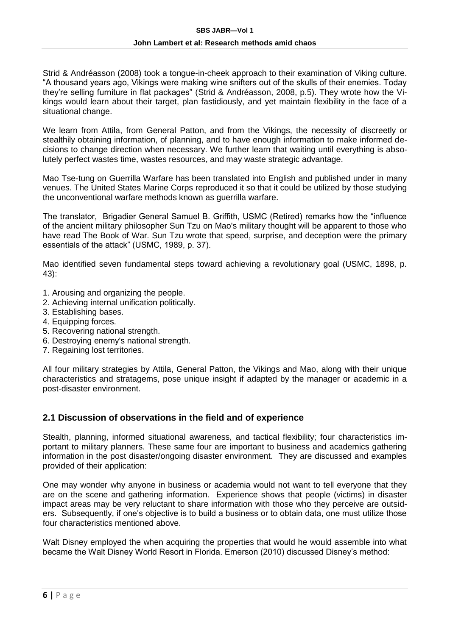Strid & Andréasson (2008) took a tongue-in-cheek approach to their examination of Viking culture. "A thousand years ago, Vikings were making wine snifters out of the skulls of their enemies. Today they're selling furniture in flat packages" (Strid & Andréasson, 2008, p.5). They wrote how the Vikings would learn about their target, plan fastidiously, and yet maintain flexibility in the face of a situational change.

We learn from Attila, from General Patton, and from the Vikings, the necessity of discreetly or stealthily obtaining information, of planning, and to have enough information to make informed decisions to change direction when necessary. We further learn that waiting until everything is absolutely perfect wastes time, wastes resources, and may waste strategic advantage.

Mao Tse-tung on Guerrilla Warfare has been translated into English and published under in many venues. The United States Marine Corps reproduced it so that it could be utilized by those studying the unconventional warfare methods known as guerrilla warfare.

The translator, Brigadier General Samuel B. Griffith, USMC (Retired) remarks how the "influence of the ancient military philosopher Sun Tzu on Mao's military thought will be apparent to those who have read The Book of War. Sun Tzu wrote that speed, surprise, and deception were the primary essentials of the attack" (USMC, 1989, p. 37).

Mao identified seven fundamental steps toward achieving a revolutionary goal (USMC, 1898, p. 43):

- 1. Arousing and organizing the people.
- 2. Achieving internal unification politically.
- 3. Establishing bases.
- 4. Equipping forces.
- 5. Recovering national strength.
- 6. Destroying enemy's national strength.
- 7. Regaining lost territories.

All four military strategies by Attila, General Patton, the Vikings and Mao, along with their unique characteristics and stratagems, pose unique insight if adapted by the manager or academic in a post-disaster environment.

#### **2.1 Discussion of observations in the field and of experience**

Stealth, planning, informed situational awareness, and tactical flexibility; four characteristics important to military planners. These same four are important to business and academics gathering information in the post disaster/ongoing disaster environment. They are discussed and examples provided of their application:

One may wonder why anyone in business or academia would not want to tell everyone that they are on the scene and gathering information. Experience shows that people (victims) in disaster impact areas may be very reluctant to share information with those who they perceive are outsiders. Subsequently, if one's objective is to build a business or to obtain data, one must utilize those four characteristics mentioned above.

Walt Disney employed the when acquiring the properties that would he would assemble into what became the Walt Disney World Resort in Florida. Emerson (2010) discussed Disney's method: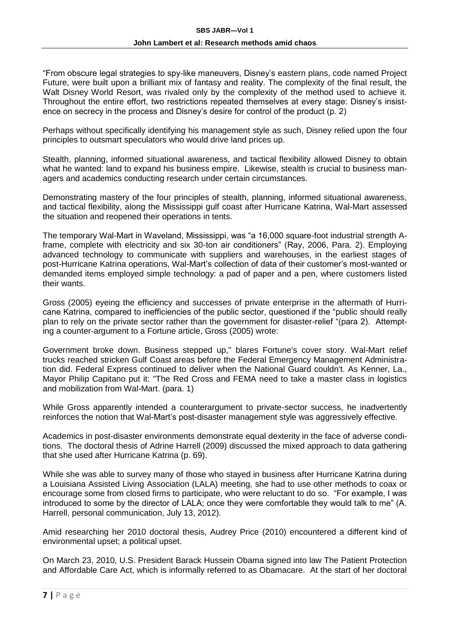"From obscure legal strategies to spy-like maneuvers, Disney's eastern plans, code named Project Future, were built upon a brilliant mix of fantasy and reality. The complexity of the final result, the Walt Disney World Resort, was rivaled only by the complexity of the method used to achieve it. Throughout the entire effort, two restrictions repeated themselves at every stage: Disney's insistence on secrecy in the process and Disney's desire for control of the product (p. 2)

Perhaps without specifically identifying his management style as such, Disney relied upon the four principles to outsmart speculators who would drive land prices up.

Stealth, planning, informed situational awareness, and tactical flexibility allowed Disney to obtain what he wanted: land to expand his business empire. Likewise, stealth is crucial to business managers and academics conducting research under certain circumstances.

Demonstrating mastery of the four principles of stealth, planning, informed situational awareness, and tactical flexibility, along the Mississippi gulf coast after Hurricane Katrina, Wal-Mart assessed the situation and reopened their operations in tents.

The temporary Wal-Mart in Waveland, Mississippi, was "a 16,000 square-foot industrial strength Aframe, complete with electricity and six 30-ton air conditioners" (Ray, 2006, Para. 2). Employing advanced technology to communicate with suppliers and warehouses, in the earliest stages of post-Hurricane Katrina operations, Wal-Mart's collection of data of their customer's most-wanted or demanded items employed simple technology: a pad of paper and a pen, where customers listed their wants.

Gross (2005) eyeing the efficiency and successes of private enterprise in the aftermath of Hurricane Katrina, compared to inefficiencies of the public sector, questioned if the "public should really plan to rely on the private sector rather than the government for disaster-relief "(para 2). Attempting a counter-argument to a Fortune article, Gross (2005) wrote:

Government broke down. Business stepped up," blares Fortune's cover story. Wal-Mart relief trucks reached stricken Gulf Coast areas before the Federal Emergency Management Administration did. Federal Express continued to deliver when the National Guard couldn't. As Kenner, La., Mayor Philip Capitano put it: "The Red Cross and FEMA need to take a master class in logistics and mobilization from Wal-Mart. (para. 1)

While Gross apparently intended a counterargument to private-sector success, he inadvertently reinforces the notion that Wal-Mart's post-disaster management style was aggressively effective.

Academics in post-disaster environments demonstrate equal dexterity in the face of adverse conditions. The doctoral thesis of Adrine Harrell (2009) discussed the mixed approach to data gathering that she used after Hurricane Katrina (p. 69).

While she was able to survey many of those who stayed in business after Hurricane Katrina during a Louisiana Assisted Living Association (LALA) meeting, she had to use other methods to coax or encourage some from closed firms to participate, who were reluctant to do so. "For example, I was introduced to some by the director of LALA; once they were comfortable they would talk to me" (A. Harrell, personal communication, July 13, 2012).

Amid researching her 2010 doctoral thesis, Audrey Price (2010) encountered a different kind of environmental upset; a political upset.

On March 23, 2010, U.S. President Barack Hussein Obama signed into law The Patient Protection and Affordable Care Act, which is informally referred to as Obamacare. At the start of her doctoral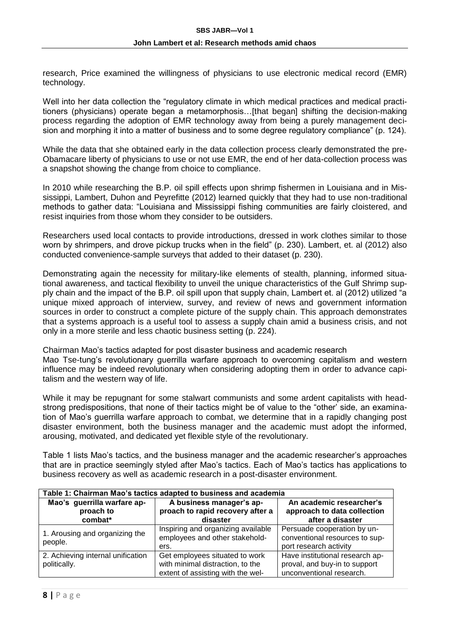research, Price examined the willingness of physicians to use electronic medical record (EMR) technology.

Well into her data collection the "regulatory climate in which medical practices and medical practitioners (physicians) operate began a metamorphosis…[that began] shifting the decision-making process regarding the adoption of EMR technology away from being a purely management decision and morphing it into a matter of business and to some degree regulatory compliance" (p. 124).

While the data that she obtained early in the data collection process clearly demonstrated the pre-Obamacare liberty of physicians to use or not use EMR, the end of her data-collection process was a snapshot showing the change from choice to compliance.

In 2010 while researching the B.P. oil spill effects upon shrimp fishermen in Louisiana and in Mississippi, Lambert, Duhon and Peyrefitte (2012) learned quickly that they had to use non-traditional methods to gather data: "Louisiana and Mississippi fishing communities are fairly cloistered, and resist inquiries from those whom they consider to be outsiders.

Researchers used local contacts to provide introductions, dressed in work clothes similar to those worn by shrimpers, and drove pickup trucks when in the field" (p. 230). Lambert, et. al (2012) also conducted convenience-sample surveys that added to their dataset (p. 230).

Demonstrating again the necessity for military-like elements of stealth, planning, informed situational awareness, and tactical flexibility to unveil the unique characteristics of the Gulf Shrimp supply chain and the impact of the B.P. oil spill upon that supply chain, Lambert et. al (2012) utilized "a unique mixed approach of interview, survey, and review of news and government information sources in order to construct a complete picture of the supply chain. This approach demonstrates that a systems approach is a useful tool to assess a supply chain amid a business crisis, and not only in a more sterile and less chaotic business setting (p. 224).

Chairman Mao's tactics adapted for post disaster business and academic research Mao Tse-tung's revolutionary guerrilla warfare approach to overcoming capitalism and western influence may be indeed revolutionary when considering adopting them in order to advance capitalism and the western way of life.

While it may be repugnant for some stalwart communists and some ardent capitalists with headstrong predispositions, that none of their tactics might be of value to the "other' side, an examination of Mao's guerrilla warfare approach to combat, we determine that in a rapidly changing post disaster environment, both the business manager and the academic must adopt the informed, arousing, motivated, and dedicated yet flexible style of the revolutionary.

Table 1 lists Mao's tactics, and the business manager and the academic researcher's approaches that are in practice seemingly styled after Mao's tactics. Each of Mao's tactics has applications to business recovery as well as academic research in a post-disaster environment.

| Table 1: Chairman Mao's tactics adapted to business and academia |                                                                                                         |                                                                                              |  |
|------------------------------------------------------------------|---------------------------------------------------------------------------------------------------------|----------------------------------------------------------------------------------------------|--|
| Mao's guerrilla warfare ap-<br>proach to<br>combat*              | A business manager's ap-<br>proach to rapid recovery after a<br>disaster                                | An academic researcher's<br>approach to data collection<br>after a disaster                  |  |
| 1. Arousing and organizing the<br>people.                        | Inspiring and organizing available<br>employees and other stakehold-<br>ers.                            | Persuade cooperation by un-<br>conventional resources to sup-<br>port research activity      |  |
| 2. Achieving internal unification<br>politically.                | Get employees situated to work<br>with minimal distraction, to the<br>extent of assisting with the wel- | Have institutional research ap-<br>proval, and buy-in to support<br>unconventional research. |  |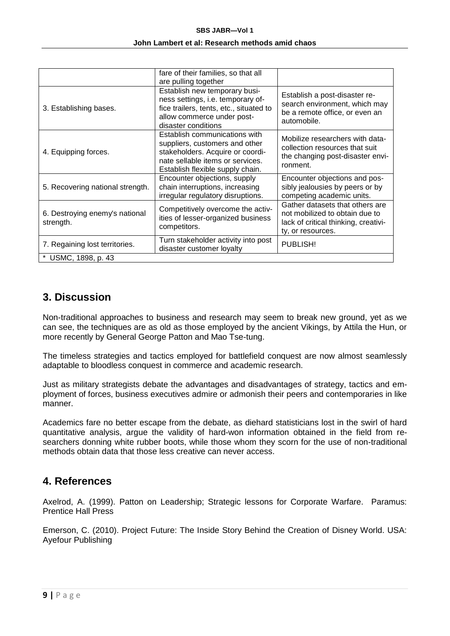#### **SBS JABR—Vol 1**

#### **John Lambert et al: Research methods amid chaos**

|                                             | fare of their families, so that all<br>are pulling together                                                                                                                 |                                                                                                                                |
|---------------------------------------------|-----------------------------------------------------------------------------------------------------------------------------------------------------------------------------|--------------------------------------------------------------------------------------------------------------------------------|
| 3. Establishing bases.                      | Establish new temporary busi-<br>ness settings, i.e. temporary of-<br>fice trailers, tents, etc., situated to<br>allow commerce under post-<br>disaster conditions          | Establish a post-disaster re-<br>search environment, which may<br>be a remote office, or even an<br>automobile.                |
| 4. Equipping forces.                        | Establish communications with<br>suppliers, customers and other<br>stakeholders. Acquire or coordi-<br>nate sellable items or services.<br>Establish flexible supply chain. | Mobilize researchers with data-<br>collection resources that suit<br>the changing post-disaster envi-<br>ronment.              |
| 5. Recovering national strength.            | Encounter objections, supply<br>chain interruptions, increasing<br>irregular regulatory disruptions.                                                                        | Encounter objections and pos-<br>sibly jealousies by peers or by<br>competing academic units.                                  |
| 6. Destroying enemy's national<br>strength. | Competitively overcome the activ-<br>ities of lesser-organized business<br>competitors.                                                                                     | Gather datasets that others are<br>not mobilized to obtain due to<br>lack of critical thinking, creativi-<br>ty, or resources. |
| 7. Regaining lost territories.              | Turn stakeholder activity into post<br>disaster customer loyalty                                                                                                            | PUBLISH!                                                                                                                       |
| * USMC, 1898, p. 43                         |                                                                                                                                                                             |                                                                                                                                |

## **3. Discussion**

Non-traditional approaches to business and research may seem to break new ground, yet as we can see, the techniques are as old as those employed by the ancient Vikings, by Attila the Hun, or more recently by General George Patton and Mao Tse-tung.

The timeless strategies and tactics employed for battlefield conquest are now almost seamlessly adaptable to bloodless conquest in commerce and academic research.

Just as military strategists debate the advantages and disadvantages of strategy, tactics and employment of forces, business executives admire or admonish their peers and contemporaries in like manner.

Academics fare no better escape from the debate, as diehard statisticians lost in the swirl of hard quantitative analysis, argue the validity of hard-won information obtained in the field from researchers donning white rubber boots, while those whom they scorn for the use of non-traditional methods obtain data that those less creative can never access.

## **4. References**

Axelrod, A. (1999). Patton on Leadership; Strategic lessons for Corporate Warfare. Paramus: Prentice Hall Press

Emerson, C. (2010). Project Future: The Inside Story Behind the Creation of Disney World. USA: Ayefour Publishing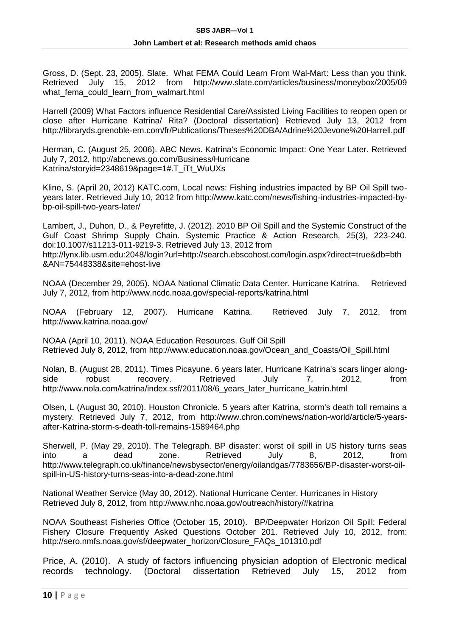Gross, D. (Sept. 23, 2005). Slate. What FEMA Could Learn From Wal-Mart: Less than you think. Retrieved July 15, 2012 from http://www.slate.com/articles/business/moneybox/2005/09 what fema could learn from walmart.html

Harrell (2009) What Factors influence Residential Care/Assisted Living Facilities to reopen open or close after Hurricane Katrina/ Rita? (Doctoral dissertation) Retrieved July 13, 2012 from http://libraryds.grenoble-em.com/fr/Publications/Theses%20DBA/Adrine%20Jevone%20Harrell.pdf

Herman, C. (August 25, 2006). ABC News. Katrina's Economic Impact: One Year Later. Retrieved July 7, 2012, http://abcnews.go.com/Business/Hurricane Katrina/storyid=2348619&page=1#.T\_iTt\_WuUXs

Kline, S. (April 20, 2012) KATC.com, Local news: Fishing industries impacted by BP Oil Spill twoyears later. Retrieved July 10, 2012 from http://www.katc.com/news/fishing-industries-impacted-bybp-oil-spill-two-years-later/

Lambert, J., Duhon, D., & Peyrefitte, J. (2012). 2010 BP Oil Spill and the Systemic Construct of the Gulf Coast Shrimp Supply Chain. Systemic Practice & Action Research, 25(3), 223-240. doi:10.1007/s11213-011-9219-3. Retrieved July 13, 2012 from http://lynx.lib.usm.edu:2048/login?url=http://search.ebscohost.com/login.aspx?direct=true&db=bth

&AN=75448338&site=ehost-live

NOAA (December 29, 2005). NOAA National Climatic Data Center. Hurricane Katrina. Retrieved July 7, 2012, from http://www.ncdc.noaa.gov/special-reports/katrina.html

NOAA (February 12, 2007). Hurricane Katrina. Retrieved July 7, 2012, from http://www.katrina.noaa.gov/

NOAA (April 10, 2011). NOAA Education Resources. Gulf Oil Spill Retrieved July 8, 2012, from http://www.education.noaa.gov/Ocean\_and\_Coasts/Oil\_Spill.html

Nolan, B. (August 28, 2011). Times Picayune. 6 years later, Hurricane Katrina's scars linger alongside robust recovery. Retrieved July 7, 2012, from http://www.nola.com/katrina/index.ssf/2011/08/6\_years\_later\_hurricane\_katrin.html

Olsen, L (August 30, 2010). Houston Chronicle. 5 years after Katrina, storm's death toll remains a mystery. Retrieved July 7, 2012, from http://www.chron.com/news/nation-world/article/5-yearsafter-Katrina-storm-s-death-toll-remains-1589464.php

Sherwell, P. (May 29, 2010). The Telegraph. BP disaster: worst oil spill in US history turns seas into a dead zone. Retrieved July 8, 2012, from http://www.telegraph.co.uk/finance/newsbysector/energy/oilandgas/7783656/BP-disaster-worst-oilspill-in-US-history-turns-seas-into-a-dead-zone.html

National Weather Service (May 30, 2012). National Hurricane Center. Hurricanes in History Retrieved July 8, 2012, from http://www.nhc.noaa.gov/outreach/history/#katrina

NOAA Southeast Fisheries Office (October 15, 2010). BP/Deepwater Horizon Oil Spill: Federal Fishery Closure Frequently Asked Questions October 201. Retrieved July 10, 2012, from: http://sero.nmfs.noaa.gov/sf/deepwater\_horizon/Closure\_FAQs\_101310.pdf

Price, A. (2010). A study of factors influencing physician adoption of Electronic medical records technology. (Doctoral dissertation Retrieved July 15, 2012 from